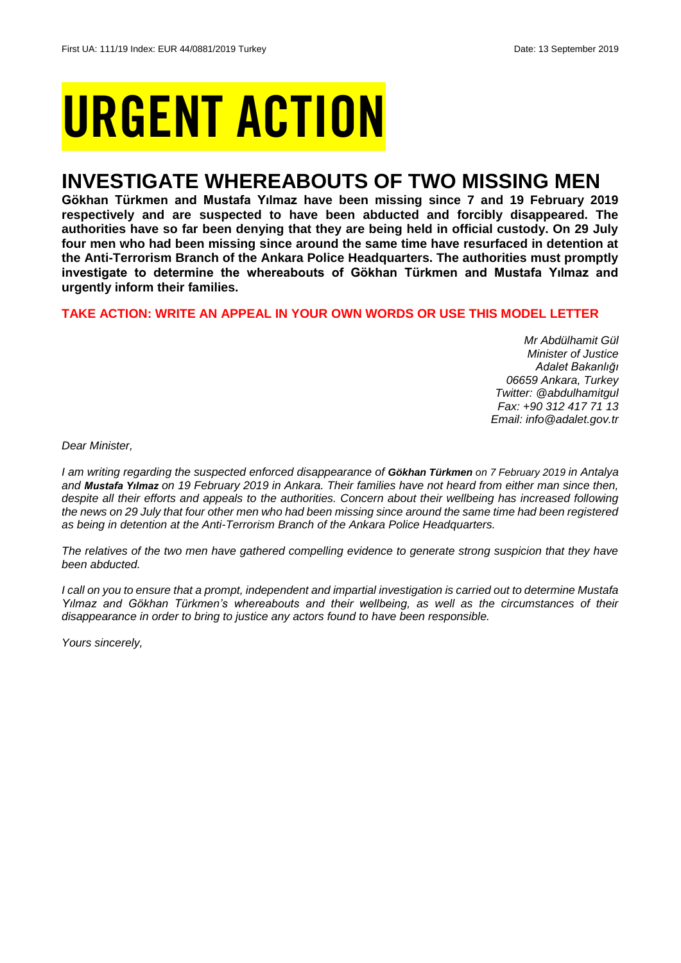# URGENT ACTION

## **INVESTIGATE WHEREABOUTS OF TWO MISSING MEN**

**Gökhan Türkmen and Mustafa Yılmaz have been missing since 7 and 19 February 2019 respectively and are suspected to have been abducted and forcibly disappeared. The authorities have so far been denying that they are being held in official custody. On 29 July four men who had been missing since around the same time have resurfaced in detention at the Anti-Terrorism Branch of the Ankara Police Headquarters. The authorities must promptly investigate to determine the whereabouts of Gökhan Türkmen and Mustafa Yılmaz and urgently inform their families.**

## **TAKE ACTION: WRITE AN APPEAL IN YOUR OWN WORDS OR USE THIS MODEL LETTER**

*Mr Abdülhamit Gül Minister of Justice Adalet Bakanlığı 06659 Ankara, Turkey Twitter: @abdulhamitgul Fax: +90 312 417 71 13 Email: info@adalet.gov.tr*

*Dear Minister,*

*I am writing regarding the suspected enforced disappearance of Gökhan Türkmen on 7 February 2019 in Antalya and Mustafa Yılmaz on 19 February 2019 in Ankara. Their families have not heard from either man since then, despite all their efforts and appeals to the authorities. Concern about their wellbeing has increased following the news on 29 July that four other men who had been missing since around the same time had been registered as being in detention at the Anti-Terrorism Branch of the Ankara Police Headquarters.*

*The relatives of the two men have gathered compelling evidence to generate strong suspicion that they have been abducted.* 

*I call on you to ensure that a prompt, independent and impartial investigation is carried out to determine Mustafa Yılmaz and Gökhan Türkmen's whereabouts and their wellbeing, as well as the circumstances of their disappearance in order to bring to justice any actors found to have been responsible.* 

*Yours sincerely,*